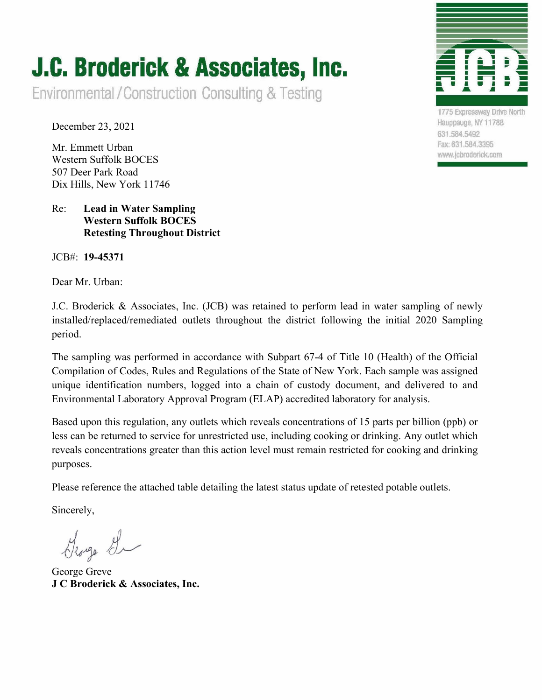## **J.C. Broderick & Associates, Inc.**

Environmental/Construction Consulting & Testing

December 23, 2021

Mr. Emmett Urban Western Suffolk BOCES 507 Deer Park Road Dix Hills, New York 11746

## Re: **Lead in Water Sampling Western Suffolk BOCES Retesting Throughout District**

JCB#: **19-45371**

Dear Mr. Urban:

J.C. Broderick & Associates, Inc. (JCB) was retained to perform lead in water sampling of newly installed/replaced/remediated outlets throughout the district following the initial 2020 Sampling period.

The sampling was performed in accordance with Subpart 67-4 of Title 10 (Health) of the Official Compilation of Codes, Rules and Regulations of the State of New York. Each sample was assigned unique identification numbers, logged into a chain of custody document, and delivered to and Environmental Laboratory Approval Program (ELAP) accredited laboratory for analysis.

Based upon this regulation, any outlets which reveals concentrations of 15 parts per billion (ppb) or less can be returned to service for unrestricted use, including cooking or drinking. Any outlet which reveals concentrations greater than this action level must remain restricted for cooking and drinking purposes.

Please reference the attached table detailing the latest status update of retested potable outlets.

Sincerely,

George G

George Greve **J C Broderick & Associates, Inc.** 

1775 Expressway Drive North Hauppauge, NY 11788 631.584.5492 Fax: 631.584.3395

www.jcbroderick.com